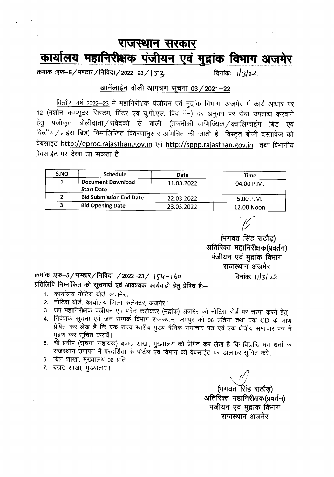## राजस्थान सरकार <u>कार्यालय महानिरीक्षक पंजीयन एवं मुद्रांक विभाग अजमेर</u>

क्रमांक :एफ-5/भण्डार/निविदा/2022-23/ | ऽ <u>2</u>, दिनांकः ।।/3/22.

\_.

#### आनॅलाईन बोली आमंत्रण सूचना 03 / 2021-22

<u>वित्तीय वर्ष 2022-23 में</u> महानिरीक्षक पंजीयन एवं मुद्रांक विभाग, अजमेर में कार्य आधार पर 12 (मशीन-कम्प्यूटर सिस्टम, प्रिंटर एवं यू.पी.एस. विद मैन) दर अनुबंध पर सेवा उपलब्ध करवाने हेतु पंजीकृत बोलीदाता ⁄ संवेदकों से बोली (तकनीकी—वाणिज्यिक ⁄ क्वालिफाईग बिड एवं वित्तीय / प्राईस बिड) निम्नलिखित विवरणानुसार आंमत्रित की जाती है। विस्तृत बोली दस्तावेज को वेबसाइट http://eproc.rajasthan.gov.in एवं http://sppp.rajasthan.gov.in तथा विभागीय वेबसाईट पर देखा जा सकता है।

| S.NO | <b>Schedule</b>                               | Date       | Time        |
|------|-----------------------------------------------|------------|-------------|
|      | <b>Document Download</b><br><b>Start Date</b> | 11.03.2022 | 04.00 P.M.  |
|      | <b>Bid Submission End Date</b>                | 22.03.2022 | $5.00$ P.M. |
| 3    | <b>Bid Opening Date</b>                       | 23.03.2022 | 12.00 Noon  |

*'f* (भगवत सिंह राठौड) अतिरिक्त महानिरीक्षक(प्रवर्तन) पंजीयन एवं मुद्रांक विभाग राजस्थान अजमेर

दिनांक: *11/3/22* 

क्रमांक :एफ-5/भण्डार/निविदा /2022-23/ J54-160 प्रतिलिपि निम्नांकित को सूचनार्थ एवं आवश्यक कार्यवाही हेतु प्रेषित है:-

- 1. व्हार्यालय नोटिस बोर्ड, अजमेर।
- 2. नोटिस बोर्ड, कार्यालय जिला कलेक्टर, अजमेर।
- 3. उप महानिरीक्षक पंजीयन एवं पदेन कलेक्टर (मुद्रांक) अजमेर को नोटिस बोर्ड पर चस्पा करने हेतु।
- 4. निदेशक सूचना एवं जन सम्पर्क विभाग राजस्थान, जयपुर को 06 प्रतियां तथा एक CD के साथ प्रेषित कर लेख है कि एक राज्य स्तरीय मुख्य दैनिक सँमाचार पत्र एवं एक क्षेत्रीय समाचार पत्र में मुद्रण कर सूचित करावें।
- 5. »शी प्रदीप (सूचना सहायक) बजट शाखा, मुख्यालय को प्रेषित कर लेख है कि विज्ञप्ति मय शर्तो के राजस्थान उपापन में परदर्शिता के पोर्टल एवं विभाग की वेबसाईट पर डालकर सूचित करें।
- 6. बिल शाखा, मुख्यालय 06 प्रति।
- 7. बजट शाखा, मुख्यालय।

*I'll*

(भगवत सिंह राठौड) अतिरिक्त महानिरीक्षक(प्रवर्तन) पंजीयन एवं मुद्रांक विभाग राजस्थान अजमेर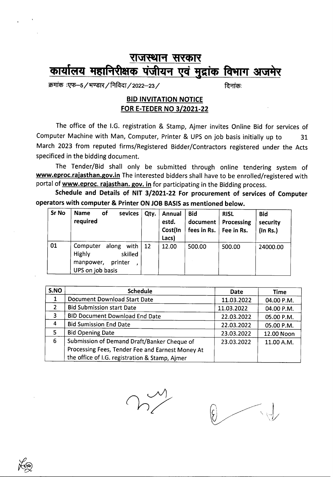## **राजस्थान सरकार** कार्यालय महानिरीक्षक पंजीयन एवं मुद्रांक विभाग अजमेर

~ :~-5/~/~/2022-23/ ~:

#### BID INVITATION NOTICE FOR E-TEDER NO 3/2021-22

The office of the I.G. registration & Stamp, Ajmer invites Online Bid for services of Computer Machine with Man, Computer, Printer & UPS on job basis initially up to 31 March 2023 from reputed firms/Registered Bidder/Contractors registered under the Acts specificed in the bidding document.

The Tender/Bid shall only be submitted through online tendering system of www.eproc.rajasthan.gov.in The interested bidders shall have to be enrolled/registered with portal of www.eproc. *rajasthan.* gov. in for participating in the Bidding process.

Schedule and Details of NIT 3/2021-22 For procurement of services of Computer operators with computer & Printer ON JOB BASIS as mentioned below.

| Sr No | of<br><b>Name</b><br>sevices<br>required                                                              | Qty. | Annual<br>estd.<br>Cost(In<br>Lacs) | <b>Bid</b><br>document<br>fees in Rs.   Fee in Rs. | <b>RISL</b><br>Processing | <b>Bid</b><br>security<br>$($ In Rs. $)$ |
|-------|-------------------------------------------------------------------------------------------------------|------|-------------------------------------|----------------------------------------------------|---------------------------|------------------------------------------|
| 01    | along<br>Computer<br>with $\vert$ 12<br>Highly<br>skilled<br>manpower,<br>printer<br>UPS on job basis |      | 12.00                               | 500.00                                             | 500.00                    | 24000.00                                 |

| S.NO           | <b>Schedule</b>                                  | Date       | Time       |
|----------------|--------------------------------------------------|------------|------------|
| 1              | <b>Document Download Start Date</b>              | 11.03.2022 | 04.00 P.M. |
| $\overline{2}$ | <b>Bid Submission start Date</b>                 | 11.03.2022 | 04.00 P.M. |
| 3              | <b>BID Document Download End Date</b>            | 22.03.2022 | 05.00 P.M. |
| 4              | <b>Bid Sumission End Date</b>                    | 22.03.2022 | 05.00 P.M. |
| 5              | <b>Bid Opening Date</b>                          | 23.03.2022 | 12.00 Noon |
| 6              | Submission of Demand Draft/Banker Cheque of      | 23.03.2022 | 11.00 A.M. |
|                | Processing Fees, Tender Fee and Earnest Money At |            |            |
|                | the office of I.G. registration & Stamp, Ajmer   |            |            |

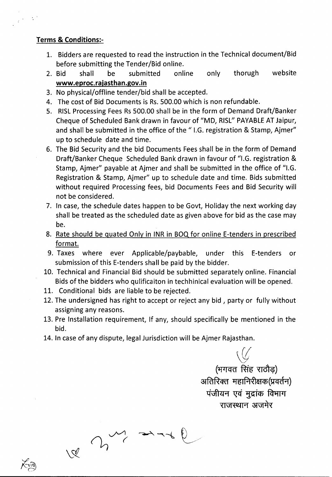#### Terms & Conditions:-

 $\frac{1}{L} \left( \frac{1}{L} \right)^{\frac{1}{2}} \left( \frac{1}{L} \right)^{\frac{1}{2}}$ 

- 1. Bidders are requested to read the instruction in the Technical document/Bid before submitting the Tender/Bid online.
- 2. Bid shall be submitted online only thorugh website www.eproc.rajasthan.gov.in
- 3. No physical/offline tender/bid shall be accepted.
- 4. The cost of Bid Documents is Rs.500.00 which is non refundable.
- 5. RISL Processing Fees Rs 500.00 shall be in the form of Demand Draft/Banker Cheque of Scheduled Bank drawn in favour of "MD, RISL" PAYABLE AT Jaipur, and shall be submitted in the office of the "I.G. registration & Stamp, Ajmer" up to schedule date and time.
- 6. The Bid Security and the bid Documents Feesshall be in the form of Demand Draft/Banker Cheque Scheduled Bank drawn in favour of "I.G. registration & Stamp, Ajmer" payable at Ajmer and shall be submitted in the office of "I.G. Registration & Stamp, Ajmer" up to schedule date and time. Bids submitted without required Processing fees, bid Documents Fees and Bid Security will not be considered.
- 7. In case, the schedule dates happen to be Govt, Holiday the next working day shall be treated as the scheduled date as given above for bid as the case may be.
- 8. Rate should be quated Only in INR in BOQ for online E-tenders in prescribed format.
- 9. Taxes where ever Applicable/paybable, under this E-tenders or submission of this E-tenders shall be paid by the bidder.
- 10. Technical and Financial Bid should be submitted separately online. Financial Bids of the bidders who qulificaiton in techhinical evaluation will be opened.
- 11. Conditional bids are liable to be rejected.
- 12. The undersigned has right to accept or reject any bid, party or fully without assigning any reasons.
- 13. Pre Installation requirement, If any, should specifically be mentioned in the bid.
- 14. In case of any dispute, legal Jurisdiction will be Ajmer Rajasthan.

 $\omega$  and

 $\veeled{S}$ 

*\(f:*

(भगवत सिंह राठौड़) अतिरिक्त महानिरीक्षक(प्रवर्तन) **पंजीयन एवं मुद्रांक विभाग** राजस्थान अजमेर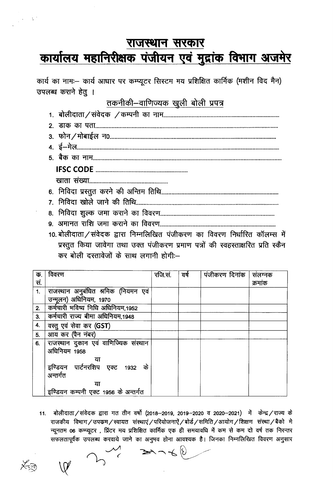## राजस्थान सरकार कार्यालय महानिरीक्षक पंजीयन एवं मुद्रांक विभाग अजमेर

कार्य का नामः- कार्य आधार पर कम्प्यूटर सिस्टम मय प्रशिक्षित कार्मिक (मशीन विद मैन) उपलब्ध कराने हेतु ।

### तकनीकी-वाणिज्यक खुली बोली प्रपत्र

- 
- 
- 10. बोलीदाता / संवेदक द्वारा निम्नलिखित पंजीकरण का विवरण निर्धारित कॉलम्स में प्रस्तूत किया जावेगा तथा उक्त पंजीकरण प्रमाण पत्रों की स्वहस्ताक्षरित प्रति स्कैन कर बोली दस्तावेजों के साथ लगानी होगी:-

| क.  | विवरण                                                | रजि.सं. | । वर्ष | पंजीकरण दिनांक | संलग्नक |
|-----|------------------------------------------------------|---------|--------|----------------|---------|
| सं. |                                                      |         |        |                | क्रमांक |
| 1.  | राजस्थान अनुबंधित श्रमिक (नियमन एवं                  |         |        |                |         |
|     | उन्मूलन) अधिनियम, 1970                               |         |        |                |         |
| 2.  | कर्मचारी भविष्य निधि अधिनियम,1952                    |         |        |                |         |
| 3.  | कर्मचारी राज्य बीमा अधिनियम,1948                     |         |        |                |         |
| 4.  | वस्तु एवं सेवा कर (GST)                              |         |        |                |         |
| 5.  | आय कर (पैन नंबर)                                     |         |        |                |         |
| 6.  | राजस्थान दुकान एवं वाणिज्यिक संस्थान<br>अधिनियम 1958 |         |        |                |         |
|     | या                                                   |         |        |                |         |
|     | इण्डियन पार्टनरशिप एक्ट 1932 के                      |         |        |                |         |
|     | अन्तर्गत                                             |         |        |                |         |
|     | या                                                   |         |        |                |         |
|     | इण्डियन कम्पनी एक्ट 1956 के अन्तर्गत                 |         |        |                |         |

 $11.$ बोलीदाता ⁄ संवेदक द्वारा गत तीन वर्षो (2018—2019, 2019—2020 व 2020—2021) में केन्द्र ⁄ राज्य के राजकीय विभाग/उपकम/स्वायत संस्थाएं/परियोजनाएँ/बोर्ड/समिति/आयोग/शिक्षण संस्था/बैको मे न्यूनतम 06 कम्प्यूटर), प्रिंटर मय प्रशिक्षित कार्मिक एक ही समयावधि में कम से कम दो वर्ष तक निरन्तर सफलतापूर्वक उपलब्ध करवाये जाने का अनुमव होना आवश्यक है। जिनका निम्नलिखित विवरण अनुसार

 $\frac{1}{2} \lambda \sim \Lambda^2$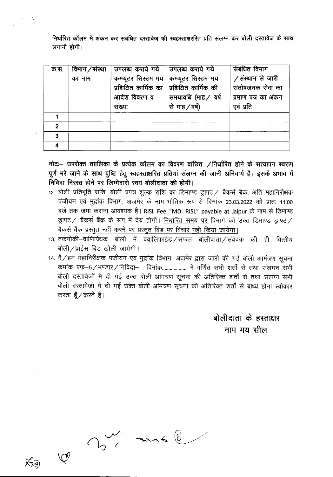निर्धारित कॉलम मे अंकन कर संबंधित दस्तावेज की स्वहस्ताक्षररित प्रति संलग्न कर बोली दस्तावेज के साथ  $\pi$ गानी होगी।

 $\frac{1}{2}$  ,  $\frac{1}{2}$  ,  $\frac{1}{2}$ 

| क्र.स. | विभाग / संस्था | उपलब्ध कराये गये   उपलब्ध कराये गये |                                               | संबंधित विभाग       |
|--------|----------------|-------------------------------------|-----------------------------------------------|---------------------|
|        | का नाम         |                                     | कम्प्यूटर सिस्टम मय   कम्प्यूटर सिस्टम मय     | /संस्थान से जारी    |
|        |                |                                     | प्रशिक्षित कार्मिक का । प्रशिक्षित कार्मिक की | संतोषजनक सेवा का    |
|        |                | आदेश विवरण व                        | समयावधि (माह / वर्ष                           | प्रमाण पत्र का अंकन |
|        |                | संख्या                              | से माह / वर्ष)                                | एवं प्रति           |
|        |                |                                     |                                               |                     |
| 2      |                |                                     |                                               |                     |
| 3      |                |                                     |                                               |                     |
|        |                |                                     |                                               |                     |

नोटः- उपरोक्त ताालिका के प्रत्येक कॉलम का विवरण वांछित  $\angle$ निर्धारित होने के सत्यापन स्वरूप पूर्ण भरे जाने के साथ पुष्टि हेतु स्वहस्ताक्षरित प्रतियां संलग्न की जानी अनिवार्य है। इसके अभाव में निविदा निरस्त होने पर जिम्मेदारी स्वयं बोलीदाता की होगी।

- 12. बोली प्रतिभूति राशि, बोली प्रपत्र शुल्क राशि का डिमाण्ड ड्राफ्ट / बैकर्स बैंक, अति महानिरीक्षक पंजीयन एवं मुद्रांक विभाग, अजमेर के नाम भौतिक रूप से दिनांक 23.03.2022 को प्रातः 11:00 बजे तक जमा कराना आवश्यक है। RISL Fee "MD. RISL" payable at Jaipur के नाम से डिमाण्ड ड्राफ्ट / बैकर्स बैंक के रूप में देय होगी। निर्धारित समय पर विभाग को उक्त डिमाण्ड ड्राफ्ट / बैकर्स बैंक प्रस्तुत नहीं करने पर प्रस्तुत बिड पर विचार नहीं किया जायेगा।
- 13. तकनीकी–वाणिज्यिक बोली में क्वालिफाईड / सफल बोलीदाता / संवेदक की ही वित्तीय बोली $/$ प्राईस बिड खोली जायेगी।
- 14. मै / हम महानिरीक्षक पंजीयन एवं मुद्रांक विभाग, अजमेर द्वारा जारी की गई बोली आमंत्रण सूचना  $~$ क्रमांक एफ $-5/$ भण्डार/निविदा– दिनांक.................... मे वर्णित सभी शर्तों से तथा संलगन सभी बोली दस्तावेजों मे दी गई उक्त बोली आंमत्रण सूचना की अतिरिक्त शर्तों से तथा संलग्न सभी बोली दस्तावेंजों में दी गई उक्त बोली आंमत्रण सूचना की अतिरिक्त शर्तों से बाध्य होना स्वीकार करता हूँ $\pi$ करते है।

बोलीदाता के हस्ताक्षर  $-$ नाम मय सील

 $\Rightarrow -6$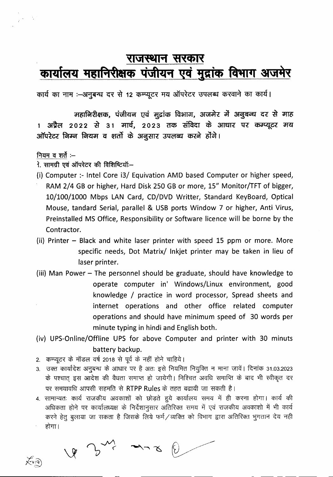## राजस्थान सरकार <u>कार्यालय महानिरीक्षक पंजीयन एवं मुद्रांक विभाग अजमेर</u>

कार्य का नाम :-अनुबन्ध दर से 12 कम्प्यूटर मय ऑपरेटर उपलब्ध करवाने का कार्य।

महानिरीक्षक, पंजीयन एवं मुद्रांक विभाग, अजमेर में अनुबन्ध दर से माह 3ाप्रैल 2022 से 31 मार्च, 2023 तक संविदा के आधार पर कम्प्यूटर मय ऑपरेटर निम्न नियम व शर्तो के अनुसार उपलब्ध करने होंगे।

#### नियम व शर्ते $:-$

 $\sqrt{\epsilon}$ 

 $\frac{1}{4}$ 

- 1. सामग्री एवं ऑपरेटर की विशिष्टियॉं:-
- (i) Computer :- Intel Core i3/ Equivation AMD based Computer or higher speed, RAM 2/4 GB or higher, Hard Disk 250 GB or more, 15" Monitor/TFT of bigger, 10/100/1000 Mbps LAN Card, CD/DVD Writter, Standard KeyBoard, Optical Mouse, tandard Serial, parallel & USB ports Window 7 or higher, Anti Virus, Preinstalled MS Office, Responsibility or Software licence will be borne by the Contractor.
- (ii) Printer Black and white laser printer with speed 15 ppm or more. More specific needs, Dot Matrix/ Inkjet printer may be taken in lieu of laser printer.
- (iii) Man Power The personnel should be graduate, should have knowledge to operate computer in' Windows/Linux environment, good knowledge / practice in word processor, Spread sheets and internet operations and other office related computer operations and should have minimum speed of 30 words per minute typing in hindi and English both.
- (iv) UPS-Online/Offline UPS for above Computer and printer with 30 minuts battery backup.
- 2. कम्प्यूटर के मॉडल वर्ष 2018 से पूर्व के नहीं होने चाहिये।
- 3. उक्त कार्यादेश अनुबन्ध के आधार पर है अतः इसे नियमित नियुक्ति न माना जावें। दिनांक 31.03.2023 उक्त कायादश अनुबन्ध के आधार पर है अतः इस ानयामत ानयुाक्त न माना जाव। दिनाक 31.03.2023<br>के पश्चात् इस आदेश की वैधता समाप्त हो जायेगी। निश्चित अवधि समाप्ति के बाद भी स्वीकृत दर -qx fili<1lqfq 3lTLffiI <sup>~</sup> <sup>~</sup> RTPPRules \* C'l"6d" ~ \iff ~ ~ I
- 4. सामान्यतः कार्य राजकीय अवकाशों को छोड़ते हुये कार्यालय समय में ही करना होगा। कार्य की सानाऱ्यसः योव संजयात्रांव अवकाराः का ठाड़स हुव कार्यालय सनव न हा करना होना। कार्य का करने हेतु बुलाया जा सकता है जिसके लिये फर्म / व्यक्ति को विभाग द्वारा अतिरिक्त भुगतान देय नही  $\overline{\text{RHT}}$ ।

 $-$ 

 $x^2$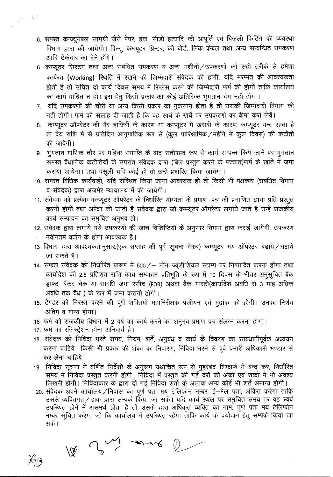- 5. समस्त कन्ज्यूमेबल सामग्री जैसे पेपर, इंक, सीडी इत्यादि की आपूर्ति एवं बिजली फिटिंग की व्यवस्था विभाग द्वारा की जायेगी। किन्तु कम्प्यूटर प्रिन्टर, की बोर्ड, लिंक केबल तथा अन्य सम्बन्धित उपकरण आदि ठेकेदार को देने होंगे।
- 6. कम्प्यूटर सिस्टम तथा अन्य संबंधित उपकरण व अन्य मशीनों / उपकरणों को सही तरीके से हमेशा कार्यरत (Working) स्थिति में रखने की जिम्मेदारी संवेदक की होगी, यदि मरम्मत की आवश्यकता होती है तो उचित दो कार्य दिवस समय में रिप्लेस करने की जिम्मेदारी फर्म की होगी ताकि कार्यालय का कार्य बाधित न हो। इस हेतू किसी प्रकार का कोई अतिरिक्त भूगतान देय नही होगा।
- 7. यदि उपकरणों की चोरी या अन्य किसी प्रकार का नुकसान होता है तो उसकी जिम्मेदारी विभाग की नही होगी। फर्म को सलाह दी जाती है कि वह स्वयं के खर्चे पर उपकरणो का बीमा करा लेवें।
- 8. कम्प्यूटर ऑपरेटर की गैर हाजिरी के कारण या कम्प्यूटर में खराबी के कारण कम्प्यूटर बन्द रहता है तो देय राशि मे से प्रतिदिन आनुपातिक रूप से (कूल पारिश्रामिक / महीने में कुल दिवस) की कटौती की जावेगी।
- 9. भुगतान मासिक तौर पर महिना समाप्ति के बाद संतोषप्रद रूप से कार्य सम्पन्न किये जाने पर भुगतान समस्त वैधानिक कटौतियों के उपरांत संवेदक द्वारा (बिल प्रस्तूत करने के पश्चात्)फर्म के खाते में जमा कराया जायेगा। तथा वसुली यदि कोई हो तो उन्हें प्रभारित किया जायेगा।
- 10. समस्त विधिक कार्यवाही, यदि संस्थित किया जाना आवश्यक हो तो किसी भी पक्षकार (संबंधित विभाग व संवेदक) द्वारा अजमेर न्यायालय में की जायेगी।
- 11. संवेदक को प्रत्येक कम्प्यूटर ऑपरेटर के निर्धारित योग्यता के प्रमाण–पत्र की प्रमाणित छाया प्रति प्रस्तुत करनी होगी तथा अपेक्षा की जाती है संवेदक द्वारा जो कम्प्यूटर ऑपरेटर लगाये जाते है उन्हें राजकीय कार्य सम्पादन का समुचित अनुभव हो।
- 12. संवेदक द्वारा लगाये गये उपकरणों की जांच विशिष्टियों के अनुसार विभाग द्वारा कराई जायेगी, उपकरण नवीनतम वर्जन के होना आवश्यक है।
- 13 विभाग द्वारा आवश्यकतानुसार.(एक सप्ताह की पूर्व सूचना देकर) कम्प्यूटर मय ऑपरेटर बढाये / घटाये जा सकते है।
- 14. सफल संवेदक को निर्धारित प्रारूप में 500/ नोन ज्यूडीशियल स्टाम्प पर निष्पादित करना होगा तथा कार्यादेश की 2.5 प्रतिशत राशि कार्य सम्पादन प्रतिभूति के रूप में 10 दिवस के भीतर अनुसूचित बैंक ड्राफ्ट, बैंकर चेक या सावधि जमा रसीद (FDR) अथवा बैंक गारंटी(कार्यादेश अवधि से 3 माह अधिक अवधि तक वैध) के रूप में जमा करानी होगी।
- 15. टेण्डर को निरस्त करने की पूर्ण शक्तियाँ महानिरीक्षक पंजीयन एवं मुद्रांक को होगी। उनका निर्णय अंतिम व मान्य होगा।
- 16 फर्म को राजकीय विभाग में 2 वर्ष का कार्य करने का अनुभव प्रमाण पत्र संलग्न करना होगा।
- 17. फर्म का रजिस्ट्रेशन होना अनिवार्य है।

 $\begin{picture}(180,10) \put(0,0){\line(1,0){10}} \put(10,0){\line(1,0){10}} \put(10,0){\line(1,0){10}} \put(10,0){\line(1,0){10}} \put(10,0){\line(1,0){10}} \put(10,0){\line(1,0){10}} \put(10,0){\line(1,0){10}} \put(10,0){\line(1,0){10}} \put(10,0){\line(1,0){10}} \put(10,0){\line(1,0){10}} \put(10,0){\line(1,0){10}} \put(10,0){\line($ 

- 18. संवेदक को निविदा भरते समय, नियम, शर्ते, अनुबंध व कार्य के विवरण का सावधानीपूर्वक अध्ययन करना चाहिये। किसी भी प्रकार की शंका का निवारण, निविदा भरने से पूर्व प्रभारी अधिकारी भण्डार से कर लेना चाहिये।
- 19. निविदा सूचना में वर्णित निर्देशों के अनुरूप यथोचित रूप से मुहरबंद लिफाफे में बन्द कर, निर्धारित समय में निविदा प्रस्तुत करनी होगी। निविदा में प्रस्तुत की गई दरों को अंको एवं शब्दों में भी अवश्य लिखनी होगी। निविदाकार के द्वारा दी गई निविदा शॅर्तो के अलावा अन्य कोई भी शर्ते अमान्य होगी।
- 20. संवेदक अपने कार्यालय / निवास का पूर्ण पता मय टेलिफोन नम्बर, ई–मेल पता, अंकित करेगा ताकि उससे व्यक्तिगत/डाक द्वारा सम्पर्क किया जा सके। यदि कार्य स्थल पर समुचित समय पर वह स्वयं उपस्थित होने में असमर्थ होता है तो उसके द्वारा अधिकृत व्यक्ति का नाम, पूर्ण पता मय टेलिफोन नम्बर सूचित करेगा जो कि कार्यालय में उपस्थित रहेगा ताकि कार्य के प्रयोजन हेतु सम्पर्क किया जा सके।

 $\cancel{\kappa_3}$ 

 $\frac{1}{2} \lambda \sim \lambda^2$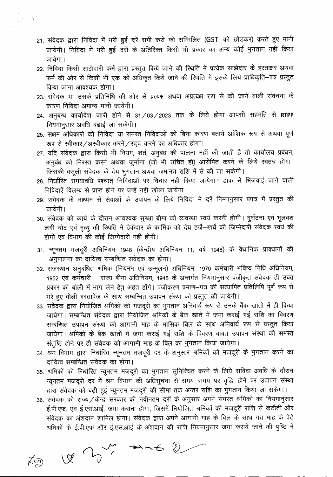- 21. संवेदक द्वारा निविदा में भरी हुई दरें सभी करों को सम्मिलित (GST को छोडकर) करते हुए मानी जायेगी। निविदा में भरी हुई दरों के अतिरिक्त किसी भी प्रकार का अन्य कोई भुगतान नहीं किया जावेगा।
- 22. निविदा किसी साझेदारी फर्म द्वारा प्रस्तुत किये जाने की स्थिति में प्रत्येक साझेदार के हस्ताक्षर अथवा फर्म की ओर से किसी भी एक को अधिकृत किये जाने की स्थिति में इसके लिये प्राधिकृति–पत्र प्रस्तुत किया जाना आवश्यक होगा।
- 23. संवेदक या उसके प्रतिनिधि की ओर से प्रत्यक्ष अथवा अप्रत्यक्ष रूप से की जाने वाली संवचना के कारण निविदा अमान्य मानी जायेगी।
- 24. अनुबन्ध कार्योदेश जारी होने से 31/03/2023 तक के लिये होगा आपसी सहमति से RTPP नियमानूसार अवधि बढाई जा सकेगी।
- 25. सक्षम अधिकारी को निविदा या समस्त निविदाओं को बिना कारण बताये आंशिक रूप से अथवा पूर्ण रूप से स्वीकार/अस्वीकार करने/रदद करने का अधिकार होगा।
- 27. यदि संवेदक द्वारा किसी भी नियम, शर्त, अनुबंध की पालना नहीं की जाती है तो कार्यालय प्रबंधन, अनुबंध को निरस्त करने अथवा जुर्माना (जो भी उचित हो) आरोपित करने के लिये स्वतंत्र होगा। जिसकी वसूली संवेदक के देय भुगतान अथवा जमानत राशि में से की जा सकेगी।
- 28. निर्धारित समयावधि पश्चात् निविदाओं पर विचार नहीं किया जायेगा। डाक से भिजवाई जाने वाली निविदाएें विलम्ब से प्राप्त होने पर उन्हें नहीं खोला जायेगा।
- 29. संवेदक के माध्यम से सेवाओं के उपापन के लिये निविदा में दरें निम्नानुसार प्रपत्र में प्रस्तुत की जायेगी ।
- 30. संवेदक को कार्य के दौरान आवश्यक सुरक्षा बीमा की व्यवस्था स्वयं करनी होगी। दुर्घटना एवं भूलवश लगी चोट एवं मृत्यु की स्थिति मे ठेकेदार के कार्मिक को देय हर्जे-खर्चे की जिम्मेदारी संवेदक स्वयं की होगी एवं विभाग की कोई जिम्मेदारी नहीं होगी।
- 31. न्यूनतम मजदूरी अधिनियम 1948 (केन्द्रीय अधिनियम 11, वर्ष 1948) के वैधानिक प्रावधानों की अनुपालना का दायित्व सम्बन्धित संवेदक का होगा।
- 32. राजस्थान अनुबंधित श्रमिक (नियमन एवं उन्मूलन) अधिनियम, 1970 कर्मचारी भविष्य निधि अधिनियम, 1952 एवं कर्मचारी जिंग्य बीमा अधिनियम, 1948 के अन्तर्गत नियमानुसार पंजीकृत संवेदक ही उक्त प्रकार की बोली में भाग लेने हेतु अर्हत होंगे। पंजीकरण प्रमाण-पत्र की सत्यापित प्रतिलिपि पूर्ण रूप से भरे हुए बोली दस्तावेज के साथ सम्बन्धित उपापन संस्था को प्रस्तुत की जायेगी।
- 33. संवेदक द्वारा नियोजित श्रमिकों को मजदूरी का भुगतान अनिवार्य रूप से उनके बैंक खातो में ही किया जायेगा। सम्बन्धित संवेदक द्वारा नियोजित श्रमिकों के बैंक खातें में जमा कराई गई राशि का विवरण सम्बन्धित उपापन संस्था को आगामी माह के मासिक बिल के साथ अनिवार्य रूप से प्रस्तुत किया जायेगा। श्रमिकों के बैंक खातों में जमा कराई गई राशि के विवरण बाबत उपापन संस्था की समस्त संतुष्टि होने पर ही संवेदक को आगामी माह के बिल का भुगतान किया जायेगा।
- 34. श्रम विभाग द्वारा निर्धारित न्यूनतम मजदूरी दर के अनुसार श्रमिकों को मजदूरी के भुगतान करने का दायित्व सम्बन्धित संवेदक का होगा।
- 35. श्रमिकों को निर्धारित न्यूनतम मजदूरी का भुगतान सुनिश्चित करने के लिये संविदा अवधि के दौरान न्यूनतम मजदूरी दर में श्रम विभाग की अधिसूचना से समय-समय पर वृद्धि होने पर उपापन संस्था द्वारा संवेदक को बढ़ी हुई न्यूनतम मजदूरी की सीमा तक अन्तर राशि का भुगतान किया जा सकेगा।
- 36. संवेदक को राज्य / केन्द्र सरकार की नवीनतम दरों के अनुसार अपने समस्त श्रमिकों का नियमानुसार ई.पी.एफ. एवं ई.एस.आई. जमा कराना होगा, जिसमें नियोजित श्रमिकों की मजदूरी राशि से कटौती और संवेदक का अंशदान शामिल होगा। संवेदक द्वारा अपने आगामी माह के बिल के साथ गत माह के पेटे श्रमिकों के ई.पी.एफ और ई.एस.आई के अंशदान की राशि नियमानुसार जमा कराये जाने की पुष्टि में

 $\begin{picture}(120,15) \put(0,0){\vector(1,0){100}} \put(15,0){\vector(1,0){100}} \put(15,0){\vector(1,0){100}} \put(15,0){\vector(1,0){100}} \put(15,0){\vector(1,0){100}} \put(15,0){\vector(1,0){100}} \put(15,0){\vector(1,0){100}} \put(15,0){\vector(1,0){100}} \put(15,0){\vector(1,0){100}} \put(15,0){\vector(1,0){100}} \put(15,0){\vector(1,0){100}}$  $\cancel{\sim}$ 

 $\frac{1}{\sqrt{2}}\left(\frac{1}{2}\right)^{2}=\frac{1}{2}\left(\frac{1}{2}\right)^{2}$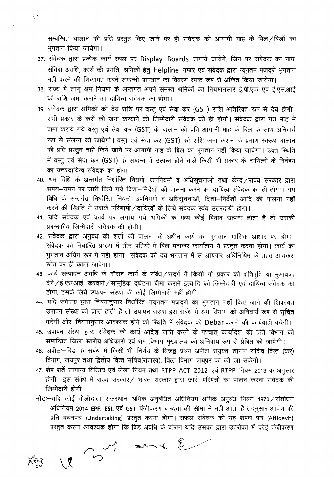सम्बन्धित चालान की प्रति प्रस्तुत किए जाने पर ही संवेदक को आगामी माह के बिल/बिलों का भुगतान किया जायेगा।

- 37. संवेदक द्वारा प्रत्येक कार्य स्थल पर Display Boards लगाये जायेंगे, जिन पर संवेदक का नाम, संविदा अवधि, कार्य की प्रगति, श्रमिकों हेतु Helpline नम्बर एवं संवेदक द्वारा न्यूनतम मजदूरी भुगतान नहीं करने की शिकायत करने सम्बन्धी प्रावधान का विवरण स्पष्ट रूप से अंकित किया जायेगा।
- 38. राज्य में लागू श्रम नियमों के अन्तर्गत अपने समस्त श्रमिकों का नियमानुसार ई.पी.एफ एवं ई.एस.आई की राशि जमा कराने का दायित्व संवेदक का होगा।
- 39. संवेदक द्वारा श्रमिकों को देय राशि पर वस्तु एवं सेवा कर (GST) राशि अतिरिक्त रूप से देय होगी। सभी प्रकार के करों को जमा करवाने की जिम्मेदारी संवेदक की ही होगी। संवेदक द्वारा गत माह में जमा कराये गये वस्तु एवं सेवा कर (GST) के चालान की प्रति आगामी माह के बिल के साथ अनिवार्य रूप से संलग्न की जायेगी। वस्तू एवं सेवा कर (GST) की राशि जमा कराने के प्रमाण स्वरूप चालान की प्रति प्रस्तुत नहीं किये जाने पर आगामी माह के बिल का भुगतान नहीं किया जायेगा। उक्त स्थिति में वस्तु एवं सेवा कर (GST) के सम्बन्ध में उत्पन्न होने वाले किसी भी प्रकार के दायित्वों के निर्वहन का उत्तरदायित्व संवेदक का होगा।
- 40. श्रम विधि के अन्तर्गत निर्धारित नियमों, उपनियमों व अधिसूचनाओं तथा केन्द्र / राज्य सरकार द्वारा समय-समय पर जारी किये गये दिशा-निर्देशों की पालना करने का दायित्व संवेदक का ही होगा। श्रम विधि के अन्तर्गत निर्धारित नियमों उपनियमों व अधिसूचनाओं, दिशा-निर्देशों आदि की पालना नहीं  $\sigma$ करने की स्थिति में उसके परिणामों / दायित्वों के लिये संवेदक स्वंय उतरदायी होगा।
- 41. यदि संवेदक एवं कार्य पर लगाये गये श्रमिकों के मध्य कोई विवाद उत्पन्न होता है तो उसकी प्रबन्धकीय जिम्मेदारी संवेदक की होगी।
- 42. संवेदक द्वारा अनुबंध की शर्तो की पालना के अधीन कार्य का भुगतान मासिक आधार पर होगा। संवेदक को निर्धारित प्रारूप में तीन प्रतियों में बिल बनाकर कार्यालय मे प्रस्तुत करना होगा। कार्य का भुगतान अग्रिम रूप में नही होगा। संवेदक को देय भुगतान में से आयकर अधिनियिम के तहत आयकर, स्रोत पर ही काटा जावेगा।
- 43. कार्य सम्पादन अवधि के दौरान कार्य के संबंध / संदर्भ में किसी भी प्रकार की क्षतिपूर्ति या मूआवजा देने /ई.एस.आई. करवाने / सामुहिक दुर्घटना बीमा कराने इत्यादि की जिम्मेदारी एवं दायित्व संवेदक का होगा, इसके लिये उपापन संस्था की कोई जिम्मेदारी नहीं होगी।
- 44. यदि संवेदक द्वारा नियमानुसार निर्धारित नयूनतम मजदूरी का भुगतान नहीं किए जाने की शिकायत उपापन संस्था को प्राप्त होती है तो उपापन संस्था इस संबंध में श्रम विभाग को अनिवार्य रूप से सूचित करेगी और, नियमानुसार आवश्यक होने की स्थिति में संवेदक को Debar कराने की कार्यवाही करेगी।
- 45. उपापन संस्था द्वारा संवेदक को कार्य आदेश जारी करने के पश्चात् कार्यादेश की प्रति विभाग को सम्बन्धित जिला स्तरीय अधिकारी एवं श्रम विभाग मुख्यालय को अनिवार्य रूप से प्रेषित की जायेगी।
- 46. अपील:—बिड के संबंध में किसी भी निर्णय के विरूद्व प्रथम अपील संयुक्त शासन सचिव वित्त (कर) विभाग, जयपुर तथा द्वितीय वित्त सचिव(राजस्व), वित्त विभाग जयपुर को की जा सकेगी।
- 47. शेष शर्तें सामान्य वित्तिय एवं लेखा नियम तथा RTPP ACT 2012 एवं RTPP नियम 2013 के अनुसार होगी। इस संबंध में राज्य सरकार / भारत सरकार द्वारा जारी परिपत्रों का पालन करना संवेदक की जिम्मेदारी होगी।
- $\overline{\mathsf{h}}$ ट:-यदि कोई बोलीदाता राजस्थान श्रमिक अनुबंधित अधिनियम श्रमिक अनुबंध नियम 1970 / संशोधन अधिनियम 2014 **EPF, ESI, एवं GST** पंजीकरण बाध्यता की सीमा में नही आता है तद्नुसार आदेश की प्रति वचनपत्र (Undertaking) प्रस्तुत करना होगा। सफल संवेदक को यह शपथ पत्र (Affidevit)

~ 3) अस्तुत करना आवश्यक होगा कि बिड़ अवधि के दौरान यदि उसका द्वारा उपरोक्त में कोई पंजीकरण<br>مسلم ہے<br>ابلا لکہ جسمجھتے کہ اس کا ہے



 $\frac{1}{2}$  's (  $\frac{1}{2}$  )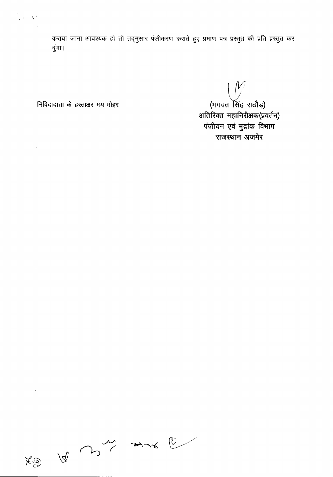कराया जाना आवश्यक हो तो तद्नुसार पंजीकरण कराते हुए प्रमाण पत्र प्रस्तुत की प्रति प्रस्तुत कर दुंगा।

निविदादाता के हस्ताक्षर मय मोहर

 $\frac{1}{2} \lambda^2 \sim \lambda^2$ 

 $\sim$   $\sim$ 

 $\bar{\beta}$ 

 $\hat{\boldsymbol{\beta}}$ 

 $\begin{pmatrix} \mathcal{W} \ \mathcal{W} \end{pmatrix}$ (भगवत सिंह राठौड़) अतिरिक्त महानिरीक्षक(प्रवर्तन) पंजीयन एवं मुद्रांक विभाग राजस्थान अजमेर

 $\begin{picture}(130,10) \put(0,0){\vector(1,0){100}} \put(15,0){\vector(1,0){100}} \put(15,0){\vector(1,0){100}} \put(15,0){\vector(1,0){100}} \put(15,0){\vector(1,0){100}} \put(15,0){\vector(1,0){100}} \put(15,0){\vector(1,0){100}} \put(15,0){\vector(1,0){100}} \put(15,0){\vector(1,0){100}} \put(15,0){\vector(1,0){100}} \put(15,0){\vector(1,0){100}}$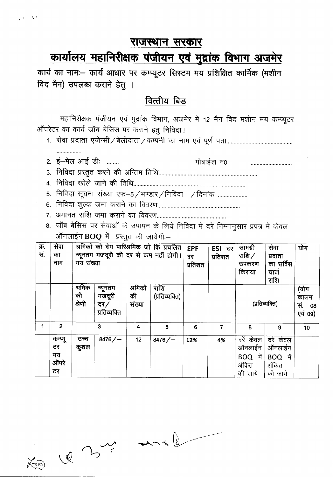#### राजस्थान सरकार

# कार्यालय महानिरीक्षक पंजीयन एवं मुद्रांक विभाग अजमेर

कार्य का नामः- कार्य आधार पर कम्प्यूटर सिस्टम मय प्रशिक्षित कार्मिक (मशीन विद मैन) उपलब्ध कराने हेतु ।

### वित्तीय बिड

महानिरीक्षक पंजीयन एवं मुद्रांक विभाग, अजमेर में 12 मैन विद मशीन मय कम्प्यूटर ऑपरेटर का कार्य जॉब बेसिस पर कराने हतू निविदा।

- 
- 2. ई-मेल आई डीः ........ मोबाईल न0
- 
- 

5. निविदा सूचना संख्या एफ-5/भण्डार/निविदा /दिनांक .....................

- 
- 

 $\alpha = 3.2$ 

................

8. जॉब बेसिस पर सेवाओं के उपापन के लिये निविदा मे दरें निम्नानुसार प्रपत्र मे केवल ऑनलाईन  $BOQ$  में प्रस्तूत की जायेगी:-

| क्र.<br>सं. | सेवा<br>का<br>नाम                 | मय संख्या              |                                          |                          | श्रमिकों को देय पारिश्रमिक जो कि प्रचलित<br>न्यूनतम मजदूरी की दर से कम नहीं होगी। | <b>EPF</b><br>दर<br>प्रतिशत | <b>ESI दर</b><br>प्रतिशत | सामग्री<br>राशि $\angle$<br>उपकरण<br>किराया        | सेवा<br>प्रदाता<br>का सर्विस<br>चार्ज<br>राशि      | योग |
|-------------|-----------------------------------|------------------------|------------------------------------------|--------------------------|-----------------------------------------------------------------------------------|-----------------------------|--------------------------|----------------------------------------------------|----------------------------------------------------|-----|
|             |                                   | श्रमिक<br>की<br>श्रेणी | न्यूनतम<br>मजदूरी<br>दर/<br>प्रतिव्यक्ति | श्रमिकों<br>की<br>संख्या | राशि<br>(प्रतिव्यक्ति)                                                            |                             |                          | (प्रतिव्यक्ति)                                     | (योग<br>कालम<br>सं.<br>08<br>एवं 09)               |     |
| 1           | $\overline{2}$                    |                        | 3                                        | 4                        | 5                                                                                 | 6                           | $\overline{7}$           | 8                                                  | 9                                                  | 10  |
|             | कम्प्यू<br>टर<br>मय<br>ऑपरे<br>टर | उच्च<br>कुशल           | 8476/                                    | 12                       | 8476/                                                                             | 12%                         | 4%                       | दरें केवल<br>ऑनलाईन<br>BOQ में<br>अंकित<br>की जाये | दरें केवल<br>ऑनलाईन<br>BOQ में<br>अंकित<br>की जाये |     |

 $X_{10}$   $Q$   $3\frac{1}{2}$  and  $Q$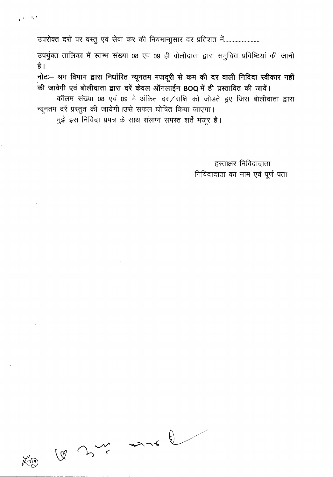उपरोक्त दरों पर वस्तु एवं सेवा कर की नियमानाुसार दर प्रतिशत में........................

" '

उपर्युक्त तालिका में स्तम्भ संख्या 08 एव 09 ही बोलीदाता द्वारा समुचित प्रविष्टियां की जानी है।

 $\vec{r}$ नोट:- श्रम विभाग द्वारा निर्धारित न्यूनतम मजदूरी से कम की दर वाली निविदा स्वीकार नहीं  $\frac{1}{2}$  जी जावेगी एवं बोलीदाता द्वारा दरें केवल ऑनलाईन BOQ में ही प्रस्तावित की जावें।

कॉलम संख्या 08 एवं 09 मे अंकित दर/राशि को जोडते हुए जिस बोलीदाता द्वारा न्यूनतम दरें प्रस्तुत की जायेगी।उसे सफल घोषित किया जाएगा।

मुझे इस निविदा प्रपत्र के साथ संलग्न समस्त शर्ते मंजूर है।

हस्ताक्षर निविदादाता निविदादाता का नाम एवं पूर्ण पता

 $100<sup>2</sup>$  and  $100<sup>2</sup>$